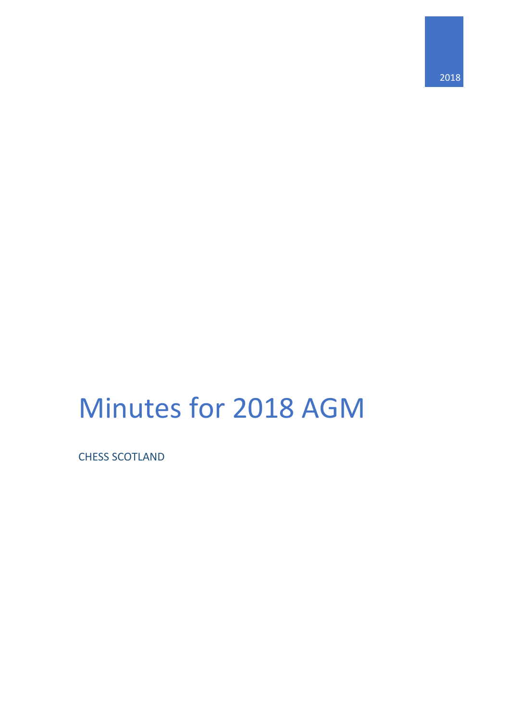2018

# Minutes for 2018 AGM

CHESS SCOTLAND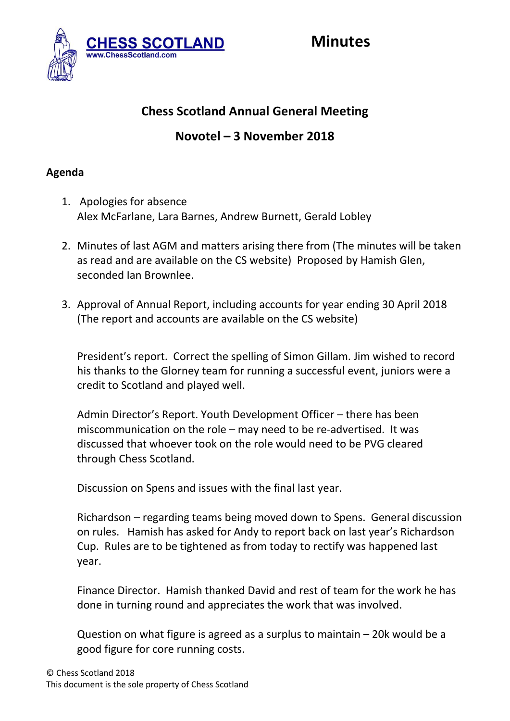**Minutes**



# **Chess Scotland Annual General Meeting**

## **Novotel – 3 November 2018**

## **Agenda**

- 1. Apologies for absence Alex McFarlane, Lara Barnes, Andrew Burnett, Gerald Lobley
- 2. Minutes of last AGM and matters arising there from (The minutes will be taken as read and are available on the CS website) Proposed by Hamish Glen, seconded Ian Brownlee.
- 3. Approval of Annual Report, including accounts for year ending 30 April 2018 (The report and accounts are available on the CS website)

President's report. Correct the spelling of Simon Gillam. Jim wished to record his thanks to the Glorney team for running a successful event, juniors were a credit to Scotland and played well.

Admin Director's Report. Youth Development Officer – there has been miscommunication on the role – may need to be re-advertised. It was discussed that whoever took on the role would need to be PVG cleared through Chess Scotland.

Discussion on Spens and issues with the final last year.

Richardson – regarding teams being moved down to Spens. General discussion on rules. Hamish has asked for Andy to report back on last year's Richardson Cup. Rules are to be tightened as from today to rectify was happened last year.

Finance Director. Hamish thanked David and rest of team for the work he has done in turning round and appreciates the work that was involved.

Question on what figure is agreed as a surplus to maintain – 20k would be a good figure for core running costs.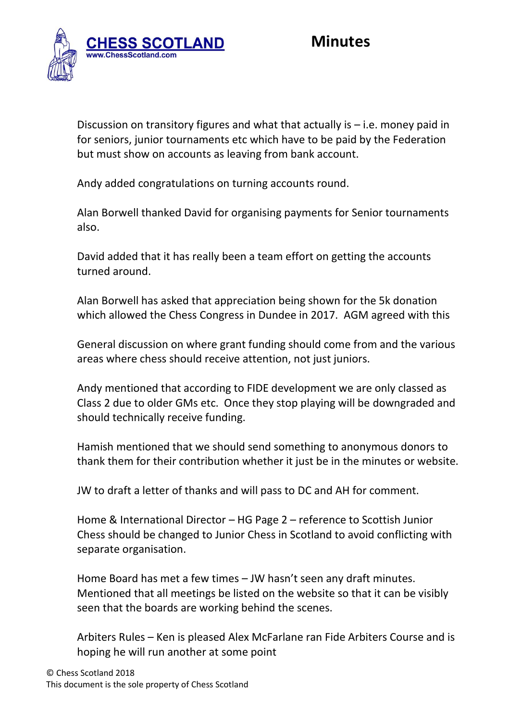

Discussion on transitory figures and what that actually is  $-$  i.e. money paid in for seniors, junior tournaments etc which have to be paid by the Federation but must show on accounts as leaving from bank account.

Andy added congratulations on turning accounts round.

Alan Borwell thanked David for organising payments for Senior tournaments also.

David added that it has really been a team effort on getting the accounts turned around.

Alan Borwell has asked that appreciation being shown for the 5k donation which allowed the Chess Congress in Dundee in 2017. AGM agreed with this

General discussion on where grant funding should come from and the various areas where chess should receive attention, not just juniors.

Andy mentioned that according to FIDE development we are only classed as Class 2 due to older GMs etc. Once they stop playing will be downgraded and should technically receive funding.

Hamish mentioned that we should send something to anonymous donors to thank them for their contribution whether it just be in the minutes or website.

JW to draft a letter of thanks and will pass to DC and AH for comment.

Home & International Director – HG Page 2 – reference to Scottish Junior Chess should be changed to Junior Chess in Scotland to avoid conflicting with separate organisation.

Home Board has met a few times – JW hasn't seen any draft minutes. Mentioned that all meetings be listed on the website so that it can be visibly seen that the boards are working behind the scenes.

Arbiters Rules – Ken is pleased Alex McFarlane ran Fide Arbiters Course and is hoping he will run another at some point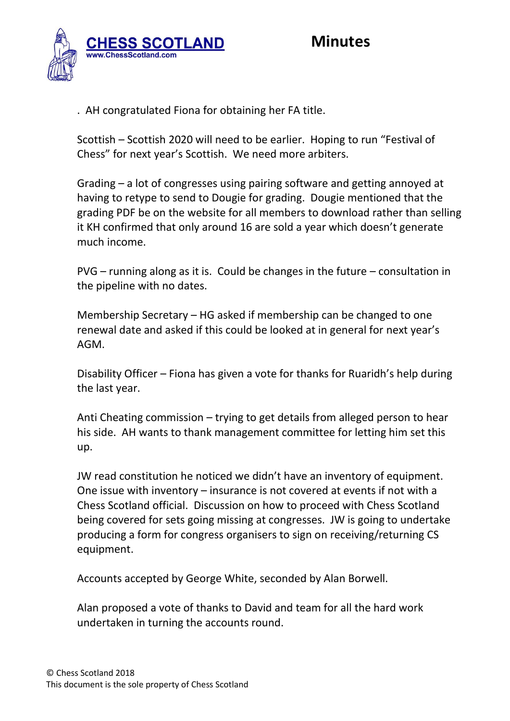

. AH congratulated Fiona for obtaining her FA title.

Scottish – Scottish 2020 will need to be earlier. Hoping to run "Festival of Chess" for next year's Scottish. We need more arbiters.

Grading – a lot of congresses using pairing software and getting annoyed at having to retype to send to Dougie for grading. Dougie mentioned that the grading PDF be on the website for all members to download rather than selling it KH confirmed that only around 16 are sold a year which doesn't generate much income.

PVG – running along as it is. Could be changes in the future – consultation in the pipeline with no dates.

Membership Secretary – HG asked if membership can be changed to one renewal date and asked if this could be looked at in general for next year's AGM.

Disability Officer – Fiona has given a vote for thanks for Ruaridh's help during the last year.

Anti Cheating commission – trying to get details from alleged person to hear his side. AH wants to thank management committee for letting him set this up.

JW read constitution he noticed we didn't have an inventory of equipment. One issue with inventory – insurance is not covered at events if not with a Chess Scotland official. Discussion on how to proceed with Chess Scotland being covered for sets going missing at congresses. JW is going to undertake producing a form for congress organisers to sign on receiving/returning CS equipment.

Accounts accepted by George White, seconded by Alan Borwell.

Alan proposed a vote of thanks to David and team for all the hard work undertaken in turning the accounts round.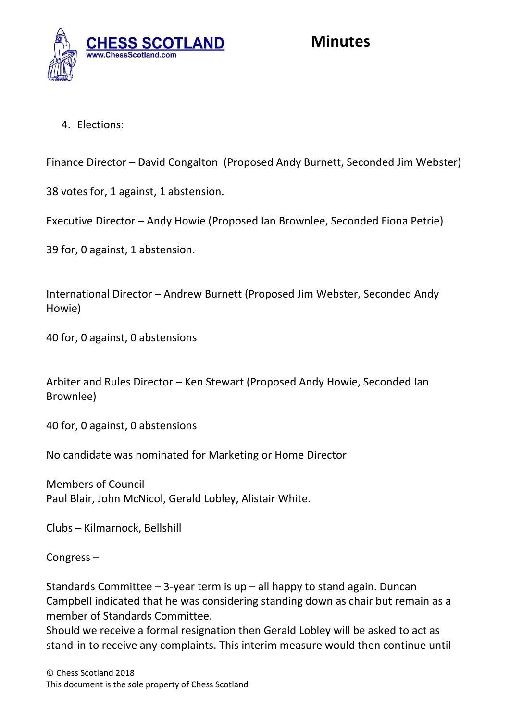

4. Elections:

Finance Director – David Congalton (Proposed Andy Burnett, Seconded Jim Webster)

38 votes for, 1 against, 1 abstension.

Executive Director – Andy Howie (Proposed Ian Brownlee, Seconded Fiona Petrie)

39 for, 0 against, 1 abstension.

International Director – Andrew Burnett (Proposed Jim Webster, Seconded Andy Howie)

40 for, 0 against, 0 abstensions

Arbiter and Rules Director – Ken Stewart (Proposed Andy Howie, Seconded Ian Brownlee)

40 for, 0 against, 0 abstensions

No candidate was nominated for Marketing or Home Director

Members of Council Paul Blair, John McNicol, Gerald Lobley, Alistair White.

Clubs – Kilmarnock, Bellshill

Congress –

Standards Committee  $-$  3-year term is up  $-$  all happy to stand again. Duncan Campbell indicated that he was considering standing down as chair but remain as a member of Standards Committee.

Should we receive a formal resignation then Gerald Lobley will be asked to act as stand-in to receive any complaints. This interim measure would then continue until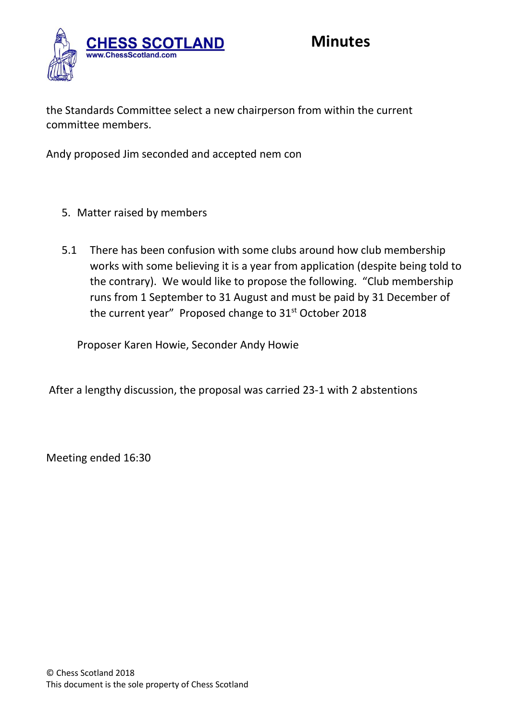

the Standards Committee select a new chairperson from within the current committee members.

Andy proposed Jim seconded and accepted nem con

- 5. Matter raised by members
- 5.1 There has been confusion with some clubs around how club membership works with some believing it is a year from application (despite being told to the contrary). We would like to propose the following. "Club membership runs from 1 September to 31 August and must be paid by 31 December of the current year" Proposed change to 31<sup>st</sup> October 2018

Proposer Karen Howie, Seconder Andy Howie

After a lengthy discussion, the proposal was carried 23-1 with 2 abstentions

Meeting ended 16:30